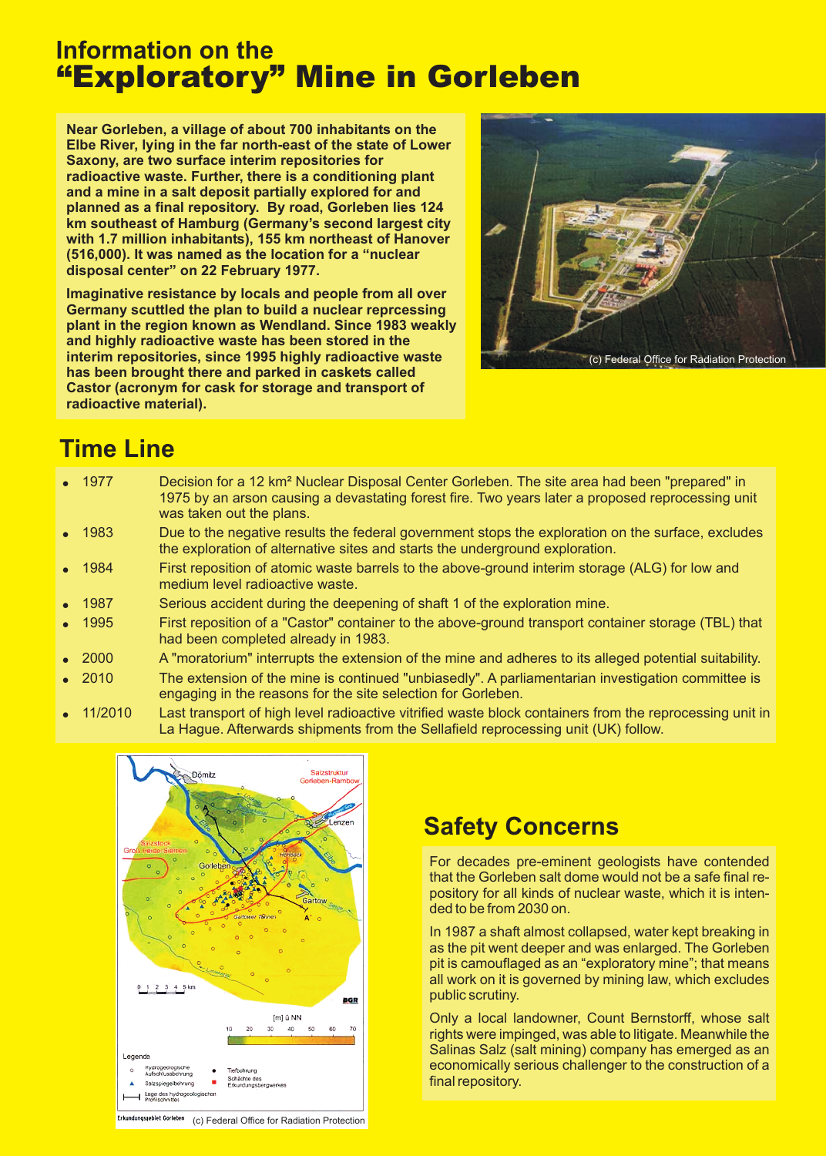# **Information on the** "Exploratory" Mine in Gorleben

**Near Gorleben, a village of about 700 inhabitants on the Elbe River, lying in the far north-east of the state of Lower Saxony, are two surface interim repositories for radioactive waste. Further, there is a conditioning plant and a mine in a salt deposit partially explored for and planned as a final repository. By road, Gorleben lies 124 km southeast of Hamburg (Germany's second largest city with 1.7 million inhabitants), 155 km northeast of Hanover (516,000). It was named as the location for a "nuclear** disposal center" on 22 February 1977.

**Imaginative resistance by locals and people from all over Germany scuttled the plan to build a nuclear reprcessing plant in the region known as Wendland. Since 1983 weakly and highly radioactive waste has been stored in the interim repositories, since 1995 highly radioactive waste has been brought there and parked in caskets called Castor (acronym for cask for storage and transport of radioactive material).**



# **Time Line**

| $\bullet$ 1977 | Decision for a 12 km <sup>2</sup> Nuclear Disposal Center Gorleben. The site area had been "prepared" in<br>1975 by an arson causing a devastating forest fire. Two years later a proposed reprocessing unit<br>was taken out the plans. |
|----------------|------------------------------------------------------------------------------------------------------------------------------------------------------------------------------------------------------------------------------------------|
| $\bullet$ 1983 | Due to the negative results the federal government stops the exploration on the surface, excludes<br>the exploration of alternative sites and starts the underground exploration.                                                        |
| • 1984         | First reposition of atomic waste barrels to the above-ground interim storage (ALG) for low and<br>medium level radioactive waste.                                                                                                        |
| $\bullet$ 1987 | Serious accident during the deepening of shaft 1 of the exploration mine.                                                                                                                                                                |
| • 1995         | First reposition of a "Castor" container to the above-ground transport container storage (TBL) that<br>had been completed already in 1983.                                                                                               |
| $\bullet$ 2000 | A "moratorium" interrupts the extension of the mine and adheres to its alleged potential suitability.                                                                                                                                    |
| $\bullet$ 2010 | The extension of the mine is continued "unbiasedly". A parliamentarian investigation committee is<br>engaging in the reasons for the site selection for Gorleben.                                                                        |
|                |                                                                                                                                                                                                                                          |

 $\bullet$ 11/2010 Last transport of high level radioactive vitrified waste block containers from the reprocessing unit in La Hague. Afterwards shipments from the Sellafield reprocessing unit (UK) follow.



## **Safety Concerns**

For decades pre-eminent geologists have contended that the Gorleben salt dome would not be a safe final repository for all kinds of nuclear waste, which it is intended to be from 2030 on.

In 1987 a shaft almost collapsed, water kept breaking in as the pit went deeper and was enlarged. The Gorleben pit is camouflaged as an "exploratory mine"; that means all work on it is governed by mining law, which excludes public scrutiny.

Only a local landowner, Count Bernstorff, whose salt rights were impinged, was able to litigate. Meanwhile the Salinas Salz (salt mining) company has emerged as an economically serious challenger to the construction of a final repository.